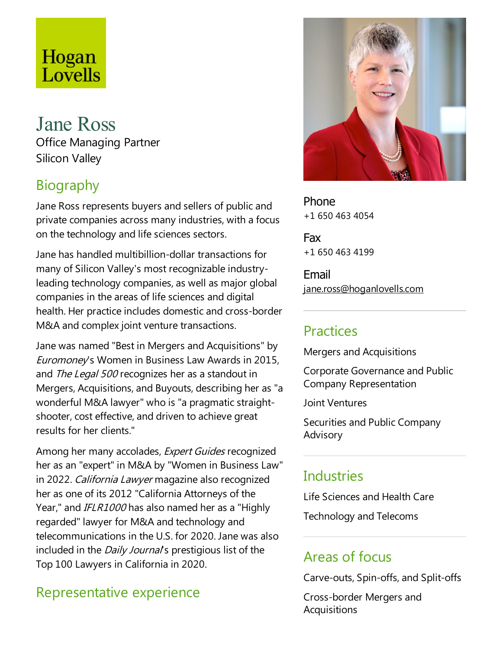# Hogan Lovells

### Jane Ross Office Managing Partner Silicon Valley

# Biography

Jane Ross represents buyers and sellers of public and private companies across many industries, with a focus on the technology and life sciences sectors.

Jane has handled multibillion-dollar transactions for many of Silicon Valley's most recognizable industryleading technology companies, as well as major global companies in the areas of life sciences and digital health. Her practice includes domestic and cross-border M&A and complex joint venture transactions.

Jane was named "Best in Mergers and Acquisitions" by Euromoney's Women in Business Law Awards in 2015, and The Legal 500 recognizes her as a standout in Mergers, Acquisitions, and Buyouts, describing her as "a wonderful M&A lawyer" who is "a pragmatic straightshooter, cost effective, and driven to achieve great results for her clients."

Among her many accolades, Expert Guides recognized her as an "expert" in M&A by "Women in Business Law" in 2022. California Lawyer magazine also recognized her as one of its 2012 "California Attorneys of the Year," and IFLR1000 has also named her as a "Highly regarded" lawyer for M&A and technology and telecommunications in the U.S. for 2020. Jane was also included in the *Daily Journal's* prestigious list of the Top 100 Lawyers in California in 2020.

# Representative experience



Phone +1 650 463 4054

Fax +1 650 463 4199

Email jane.ross@hoganlovells.com

### Practices

Mergers and Acquisitions

Corporate Governanceand Public Company Representation

Joint Ventures

Securities and Public Company Advisory

# **Industries**

Life Sciences and Health Care

Technology and Telecoms

# Areas of focus

Carve-outs, Spin-offs,and Split-offs

Cross-border Mergers and **Acquisitions**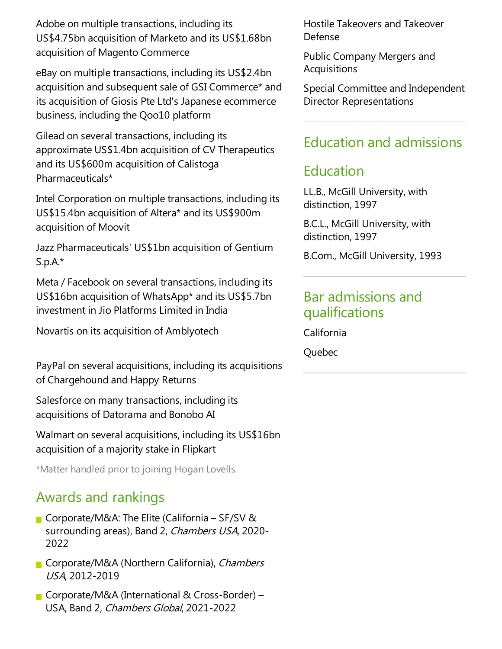Adobe on multiple transactions, including its US\$4.75bn acquisition of Marketo and its US\$1.68bn acquisition of Magento Commerce

eBay on multiple transactions, including its US\$2.4bn acquisition and subsequent sale of GSI Commerce\* and its acquisition of Giosis Pte Ltd's Japanese ecommerce business, including the Qoo10 platform

Gilead on several transactions, including its approximate US\$1.4bn acquisition of CV Therapeutics and its US\$600m acquisition of Calistoga Pharmaceuticals\*

Intel Corporation on multiple transactions, including its US\$15.4bn acquisition of Altera\* and its US\$900m acquisition of Moovit

Jazz Pharmaceuticals' US\$1bn acquisition of Gentium S.p.A.\*

Meta / Facebook on several transactions, including its US\$16bn acquisition of WhatsApp\* and its US\$5.7bn investment in Jio Platforms Limited in India

Novartis on its acquisition of Amblyotech

PayPal on several acquisitions, including its acquisitions of Chargehound and Happy Returns

Salesforce on many transactions, including its acquisitions of Datorama and Bonobo AI

Walmart on several acquisitions, including its US\$16bn acquisition of a majority stake in Flipkart

\*Matter handled prior to joining Hogan Lovells.

#### Awards and rankings

- Corporate/M&A: The Elite (California SF/SV & surrounding areas), Band 2, *Chambers USA*, 2020-2022
- Corporate/M&A (Northern California), Chambers USA, 2012-2019
- Corporate/M&A (International & Cross-Border) USA, Band 2, Chambers Global, 2021-2022

Hostile Takeovers and Takeover Defense

Public Company Mergers and Acquisitions

Special Committee and Independent Director Representations

#### Education and admissions

#### Education

LL.B., McGill University, with distinction, 1997

B.C.L., McGill University, with distinction, 1997

B.Com., McGill University, 1993

#### Bar admissions and qualifications

California

Quebec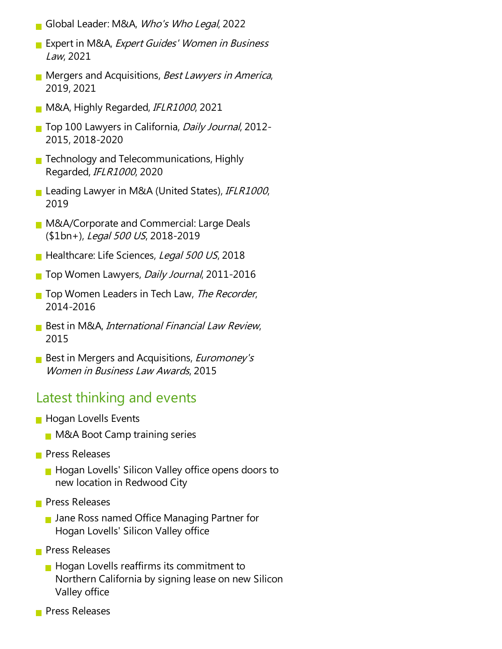- Global Leader:M&A, Who's Who Legal, 2022
- Expert in M&A, Expert Guides' Women in Business Law, 2021
- **Mergers and Acquisitions, Best Lawyers in America,** 2019, 2021
- M&A, Highly Regarded, IFLR1000, 2021
- Top 100 Lawyers in California, Daily Journal, 2012-2015, 2018-2020
- **Technology and Telecommunications, Highly** Regarded, IFLR1000, 2020
- Leading Lawyer in M&A (United States), IFLR1000, 2019
- **M&A/Corporate and Commercial: Large Deals** (\$1bn+), Legal 500 US, 2018-2019
- Healthcare: Life Sciences, Legal 500 US, 2018
- Top Women Lawyers, *Daily Journal*, 2011-2016
- **The Women Leaders in Tech Law, The Recorder,** 2014-2016
- Best in M&A, *International Financial Law Review*, 2015
- **Best in Mergers and Acquisitions, Euromoney's** Women in Business Law Awards, 2015

#### Latest thinking and events

- **Hogan Lovells Events** 
	- **M&A Boot Camp training series**
- **Press Releases** 
	- **Hogan Lovells' Silicon Valley office opens doors to** new location in Redwood City
- **Press Releases** 
	- **Jane Ross named Office Managing Partner for** Hogan Lovells' Silicon Valley office
- **Press Releases** 
	- $\blacksquare$  Hogan Lovells reaffirms its commitment to Northern California by signing lease on new Silicon Valley office
- **Press Releases**